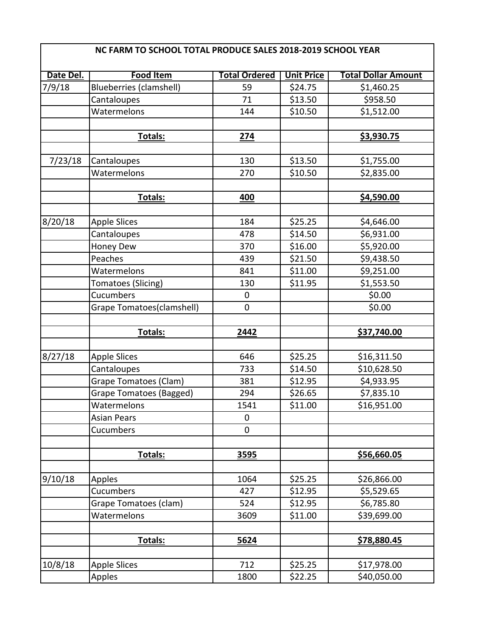| NC FARM TO SCHOOL TOTAL PRODUCE SALES 2018-2019 SCHOOL YEAR |                              |                      |                   |                            |
|-------------------------------------------------------------|------------------------------|----------------------|-------------------|----------------------------|
| Date Del.                                                   | <b>Food Item</b>             | <b>Total Ordered</b> | <b>Unit Price</b> | <b>Total Dollar Amount</b> |
| 7/9/18                                                      | Blueberries (clamshell)      | 59                   | \$24.75           | \$1,460.25                 |
|                                                             | Cantaloupes                  | 71                   | \$13.50           | \$958.50                   |
|                                                             | Watermelons                  | 144                  | \$10.50           | \$1,512.00                 |
|                                                             |                              |                      |                   |                            |
|                                                             | Totals:                      | 274                  |                   | \$3,930.75                 |
|                                                             |                              |                      |                   |                            |
| 7/23/18                                                     | Cantaloupes                  | 130                  | \$13.50           | \$1,755.00                 |
|                                                             | Watermelons                  | 270                  | \$10.50           | \$2,835.00                 |
|                                                             |                              |                      |                   |                            |
|                                                             | Totals:                      | 400                  |                   | \$4,590.00                 |
|                                                             |                              |                      |                   |                            |
| 8/20/18                                                     | <b>Apple Slices</b>          | 184                  | \$25.25           | \$4,646.00                 |
|                                                             | Cantaloupes                  | 478                  | \$14.50           | \$6,931.00                 |
|                                                             | Honey Dew                    | 370                  | \$16.00           | \$5,920.00                 |
|                                                             | Peaches                      | 439                  | \$21.50           | \$9,438.50                 |
|                                                             | Watermelons                  | 841                  | \$11.00           | \$9,251.00                 |
|                                                             | Tomatoes (Slicing)           | 130                  | \$11.95           | \$1,553.50                 |
|                                                             | Cucumbers                    | 0                    |                   | \$0.00                     |
|                                                             | Grape Tomatoes(clamshell)    | $\mathsf{O}\xspace$  |                   | \$0.00                     |
|                                                             |                              |                      |                   |                            |
|                                                             | Totals:                      | 2442                 |                   | \$37,740.00                |
|                                                             |                              |                      |                   |                            |
| 8/27/18                                                     | <b>Apple Slices</b>          | 646                  | \$25.25           | \$16,311.50                |
|                                                             | Cantaloupes                  | 733                  | \$14.50           | \$10,628.50                |
|                                                             | <b>Grape Tomatoes (Clam)</b> | 381                  | \$12.95           | \$4,933.95                 |
|                                                             | Grape Tomatoes (Bagged)      | 294                  | \$26.65           | \$7,835.10                 |
|                                                             | Watermelons                  | 1541                 | \$11.00           | \$16,951.00                |
|                                                             | <b>Asian Pears</b>           | $\pmb{0}$            |                   |                            |
|                                                             | Cucumbers                    | 0                    |                   |                            |
|                                                             |                              |                      |                   |                            |
|                                                             | Totals:                      | 3595                 |                   | \$56,660.05                |
|                                                             |                              |                      |                   |                            |
| 9/10/18                                                     | Apples                       | 1064                 | \$25.25           | \$26,866.00                |
|                                                             | Cucumbers                    | 427                  | \$12.95           | \$5,529.65                 |
|                                                             | Grape Tomatoes (clam)        | 524                  | \$12.95           | \$6,785.80                 |
|                                                             | Watermelons                  | 3609                 | \$11.00           | \$39,699.00                |
|                                                             |                              |                      |                   |                            |
|                                                             | Totals:                      | 5624                 |                   | \$78,880.45                |
|                                                             |                              |                      |                   |                            |
| 10/8/18                                                     | <b>Apple Slices</b>          | 712                  | \$25.25           | \$17,978.00                |
|                                                             | Apples                       | 1800                 | \$22.25           | \$40,050.00                |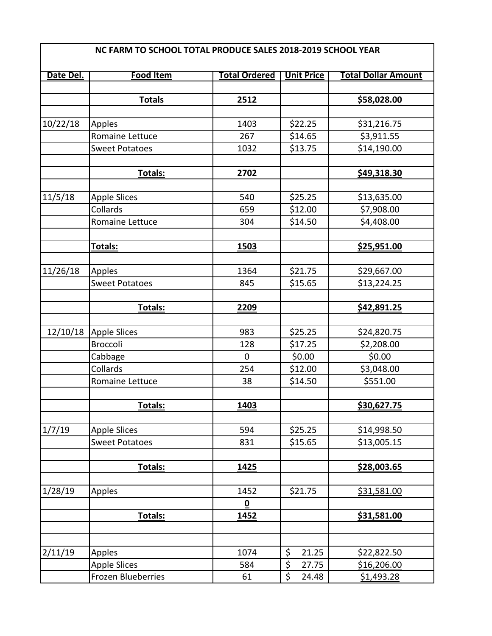| Date Del. | <b>Food Item</b>      | <b>Total Ordered</b>     | <b>Unit Price</b> | <b>Total Dollar Amount</b> |
|-----------|-----------------------|--------------------------|-------------------|----------------------------|
|           | <b>Totals</b>         | 2512                     |                   | \$58,028.00                |
|           |                       |                          |                   |                            |
| 10/22/18  | Apples                | 1403                     | \$22.25           | \$31,216.75                |
|           | Romaine Lettuce       | 267                      | \$14.65           | \$3,911.55                 |
|           | <b>Sweet Potatoes</b> | 1032                     | \$13.75           | \$14,190.00                |
|           |                       |                          |                   |                            |
|           | Totals:               | 2702                     |                   | \$49,318.30                |
|           |                       |                          |                   |                            |
| 11/5/18   | <b>Apple Slices</b>   | 540                      | \$25.25           | \$13,635.00                |
|           | Collards              | 659                      | \$12.00           | \$7,908.00                 |
|           | Romaine Lettuce       | 304                      | \$14.50           | \$4,408.00                 |
|           |                       |                          |                   |                            |
|           | Totals:               | 1503                     |                   | \$25,951.00                |
|           |                       |                          |                   |                            |
| 11/26/18  | Apples                | 1364                     | \$21.75           | \$29,667.00                |
|           | <b>Sweet Potatoes</b> | 845                      | \$15.65           | \$13,224.25                |
|           |                       |                          |                   |                            |
|           | Totals:               | 2209                     |                   | \$42,891.25                |
|           |                       |                          |                   |                            |
| 12/10/18  | <b>Apple Slices</b>   | 983                      | \$25.25           | \$24,820.75                |
|           | <b>Broccoli</b>       | 128                      | \$17.25           | \$2,208.00                 |
|           | Cabbage               | 0                        | \$0.00            | \$0.00                     |
|           | Collards              | 254                      | \$12.00           | \$3,048.00                 |
|           | Romaine Lettuce       | 38                       | \$14.50           | \$551.00                   |
|           |                       |                          |                   |                            |
|           | Totals:               | <u> 1403 </u>            |                   | <u>\$30,627.75</u>         |
|           |                       |                          |                   |                            |
| 1/7/19    | <b>Apple Slices</b>   | 594                      | \$25.25           | \$14,998.50                |
|           | <b>Sweet Potatoes</b> | 831                      | \$15.65           | \$13,005.15                |
|           | Totals:               | 1425                     |                   | \$28,003.65                |
|           |                       |                          |                   |                            |
| 1/28/19   | Apples                | 1452                     | \$21.75           | \$31,581.00                |
|           |                       | $\underline{\mathbf{0}}$ |                   |                            |
|           | Totals:               | 1452                     |                   | \$31,581.00                |
|           |                       |                          |                   |                            |
|           |                       |                          |                   |                            |
| 2/11/19   | Apples                | 1074                     | \$<br>21.25       | <u>\$22,822.50</u>         |
|           | <b>Apple Slices</b>   | 584                      | \$<br>27.75       | \$16,206.00                |
|           | Frozen Blueberries    | 61                       | \$<br>24.48       | <u>\$1,493.28</u>          |
|           |                       |                          |                   |                            |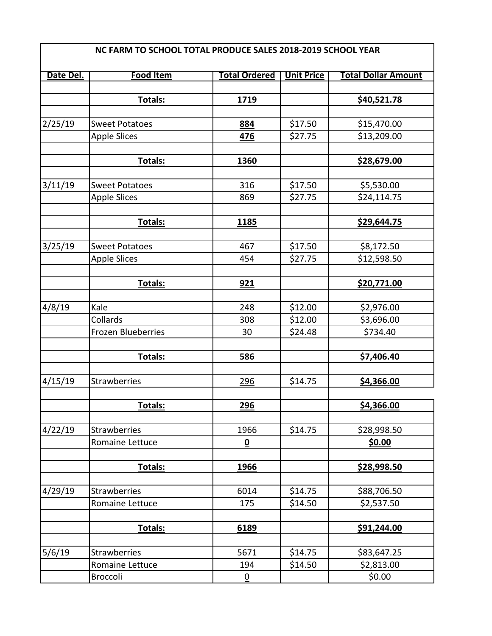| NC FARM TO SCHOOL TOTAL PRODUCE SALES 2018-2019 SCHOOL YEAR |                           |                          |                   |                            |
|-------------------------------------------------------------|---------------------------|--------------------------|-------------------|----------------------------|
| Date Del.                                                   | <b>Food Item</b>          | <b>Total Ordered</b>     | <b>Unit Price</b> | <b>Total Dollar Amount</b> |
|                                                             |                           |                          |                   |                            |
|                                                             | Totals:                   | 1719                     |                   | \$40,521.78                |
|                                                             |                           |                          |                   |                            |
| 2/25/19                                                     | <b>Sweet Potatoes</b>     | 884                      | \$17.50           | \$15,470.00                |
|                                                             | Apple Slices              | 476                      | \$27.75           | \$13,209.00                |
|                                                             |                           |                          |                   |                            |
|                                                             | Totals:                   | 1360                     |                   | \$28,679.00                |
|                                                             |                           |                          |                   |                            |
| 3/11/19                                                     | <b>Sweet Potatoes</b>     | 316                      | \$17.50           | \$5,530.00                 |
|                                                             | <b>Apple Slices</b>       | 869                      | \$27.75           | \$24,114.75                |
|                                                             |                           |                          |                   |                            |
|                                                             | Totals:                   | 1185                     |                   | \$29,644.75                |
|                                                             |                           |                          |                   |                            |
| 3/25/19                                                     | <b>Sweet Potatoes</b>     | 467                      | \$17.50           | \$8,172.50                 |
|                                                             | <b>Apple Slices</b>       | 454                      | \$27.75           | \$12,598.50                |
|                                                             |                           |                          |                   |                            |
|                                                             | Totals:                   | 921                      |                   | \$20,771.00                |
|                                                             |                           |                          |                   |                            |
| 4/8/19                                                      | Kale                      | 248                      | \$12.00           | \$2,976.00                 |
|                                                             | Collards                  | 308                      | \$12.00           | \$3,696.00                 |
|                                                             | <b>Frozen Blueberries</b> | 30                       | \$24.48           | \$734.40                   |
|                                                             |                           |                          |                   |                            |
|                                                             | Totals:                   | 586                      |                   | \$7,406.40                 |
|                                                             |                           |                          |                   |                            |
| 4/15/19                                                     | <b>Strawberries</b>       | <u>296</u>               | \$14.75           | \$4,366.00                 |
|                                                             |                           |                          |                   |                            |
|                                                             | Totals:                   | <u>296</u>               |                   | \$4,366.00                 |
|                                                             |                           |                          |                   |                            |
| 4/22/19                                                     | Strawberries              | 1966                     | \$14.75           | \$28,998.50                |
|                                                             | Romaine Lettuce           | $\underline{\mathbf{0}}$ |                   | \$0.00                     |
|                                                             |                           |                          |                   |                            |
|                                                             | Totals:                   | 1966                     |                   | <u>\$28,998.50</u>         |
|                                                             | <b>Strawberries</b>       | 6014                     | \$14.75           | \$88,706.50                |
| 4/29/19                                                     | Romaine Lettuce           | 175                      | \$14.50           | \$2,537.50                 |
|                                                             |                           |                          |                   |                            |
|                                                             | Totals:                   | 6189                     |                   | \$91,244.00                |
|                                                             |                           |                          |                   |                            |
| 5/6/19                                                      | Strawberries              | 5671                     | \$14.75           | \$83,647.25                |
|                                                             | Romaine Lettuce           | 194                      | \$14.50           | \$2,813.00                 |
|                                                             | <b>Broccoli</b>           | $\overline{0}$           |                   | \$0.00                     |
|                                                             |                           |                          |                   |                            |